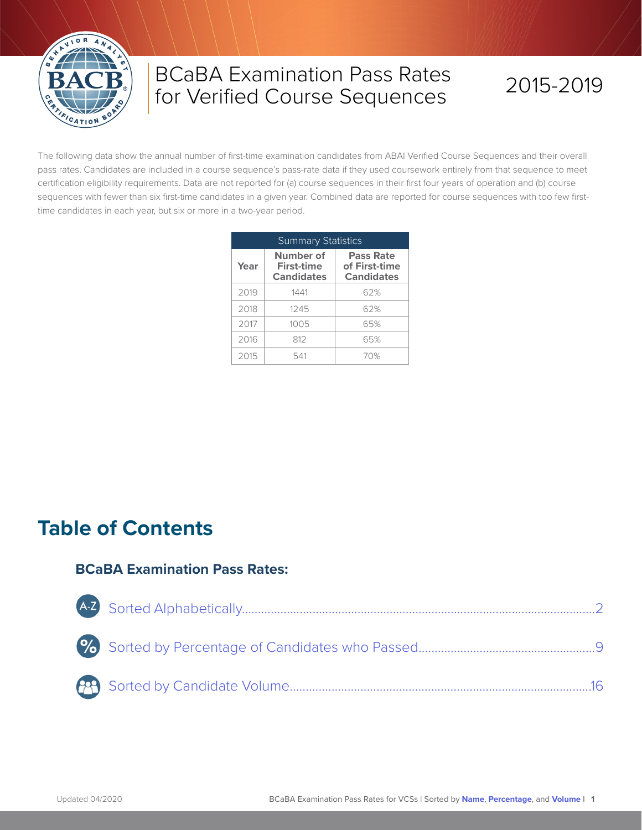

# BCaBA Examination Pass Rates for Verified Course Sequences

# 2015-2019

The following data show the annual number of first-time examination candidates from ABAI Verified Course Sequences and their overall pass rates. Candidates are included in a course sequence's pass-rate data if they used coursework entirely from that sequence to meet certification eligibility requirements. Data are not reported for (a) course sequences in their first four years of operation and (b) course sequences with fewer than six first-time candidates in a given year. Combined data are reported for course sequences with too few firsttime candidates in each year, but six or more in a two-year period.

| <b>Summary Statistics</b> |                                                     |                                                        |  |  |  |  |  |  |  |  |
|---------------------------|-----------------------------------------------------|--------------------------------------------------------|--|--|--|--|--|--|--|--|
| Year                      | Number of<br><b>First-time</b><br><b>Candidates</b> | <b>Pass Rate</b><br>of First-time<br><b>Candidates</b> |  |  |  |  |  |  |  |  |
| 2019                      | 1441                                                | 62%                                                    |  |  |  |  |  |  |  |  |
| 2018                      | 1245                                                | 62%                                                    |  |  |  |  |  |  |  |  |
| 2017                      | 1005                                                | 65%                                                    |  |  |  |  |  |  |  |  |
| 2016                      | 812                                                 | 65%                                                    |  |  |  |  |  |  |  |  |
| 2015                      | 541                                                 | 70%                                                    |  |  |  |  |  |  |  |  |

## **Table of Contents**

#### **BCaBA Examination Pass Rates:**

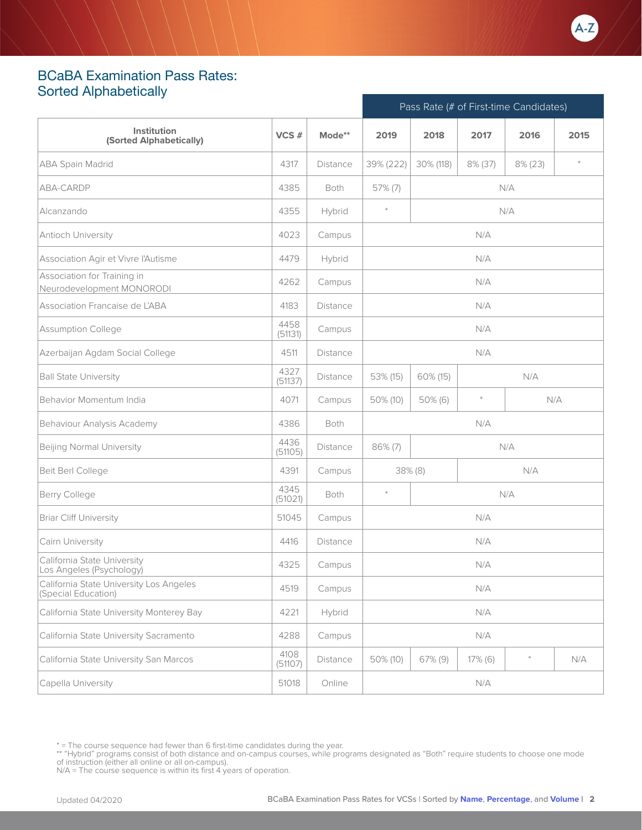

### <span id="page-1-0"></span>BCaBA Examination Pass Rates: Sorted Alphabetically

|                                                                |                 |                 | Pass Rate (# of First-time Candidates) |            |         |         |                          |  |
|----------------------------------------------------------------|-----------------|-----------------|----------------------------------------|------------|---------|---------|--------------------------|--|
| Institution<br>(Sorted Alphabetically)                         | VCS#            | Mode**          | 2019                                   | 2018       | 2017    | 2016    | 2015                     |  |
| <b>ABA Spain Madrid</b>                                        | 4317            | <b>Distance</b> | 39% (222)                              | 30% (118)  | 8% (37) | 8% (23) | $\frac{d\mathbf{r}}{dt}$ |  |
| ABA-CARDP                                                      | 4385            | Both            | 57% (7)                                |            |         | N/A     |                          |  |
| Alcanzando                                                     | 4355            | Hybrid          | $\ast$                                 |            |         | N/A     |                          |  |
| Antioch University                                             | 4023            | Campus          |                                        |            | N/A     |         |                          |  |
| Association Agir et Vivre l'Autisme                            | 4479            | Hybrid          | N/A                                    |            |         |         |                          |  |
| Association for Training in<br>Neurodevelopment MONORODI       | 4262            | Campus          |                                        |            | N/A     |         |                          |  |
| Association Francaise de L'ABA                                 | 4183            | <b>Distance</b> |                                        |            | N/A     |         |                          |  |
| <b>Assumption College</b>                                      | 4458<br>(51131) | Campus          |                                        |            | N/A     |         |                          |  |
| Azerbaijan Agdam Social College                                | 4511            | <b>Distance</b> |                                        |            | N/A     |         |                          |  |
| <b>Ball State University</b>                                   | 4327<br>(51137) | <b>Distance</b> | 60% (15)<br>N/A<br>53% (15)            |            |         |         |                          |  |
| Behavior Momentum India                                        | 4071            | Campus          | 50% (10)                               | $50\%$ (6) | $\ast$  |         | N/A                      |  |
| Behaviour Analysis Academy                                     | 4386            | Both            |                                        |            | N/A     |         |                          |  |
| Beijing Normal University                                      | 4436<br>(51105) | Distance        | $86\% (7)$                             |            |         | N/A     |                          |  |
| Beit Berl College                                              | 4391            | Campus          |                                        | $38\%$ (8) |         | N/A     |                          |  |
| <b>Berry College</b>                                           | 4345<br>(51021) | Both            | $\ast$                                 |            |         | N/A     |                          |  |
| <b>Briar Cliff University</b>                                  | 51045           | Campus          |                                        |            | N/A     |         |                          |  |
| Cairn University                                               | 4416            | <b>Distance</b> |                                        |            | N/A     |         |                          |  |
| California State University<br>Los Angeles (Psychology)        | 4325            | Campus          |                                        |            | N/A     |         |                          |  |
| California State University Los Angeles<br>(Special Education) | 4519            | Campus          |                                        |            | N/A     |         |                          |  |
| California State University Monterey Bay                       | 4221            | Hybrid          |                                        |            | N/A     |         |                          |  |
| California State University Sacramento                         | 4288            | Campus          |                                        |            | N/A     |         |                          |  |
| California State University San Marcos                         | 4108<br>(51107) | Distance        | 50% (10)                               | 67% (9)    | 17% (6) |         | N/A                      |  |
| Capella University                                             | 51018           | Online          |                                        |            | N/A     |         |                          |  |

<sup>\* =</sup> The course sequence had fewer than 6 first-time candidates during the year.

<sup>\*\* &</sup>quot;Hybrid" programs consist of both distance and on-campus courses, while programs designated as "Both" require students to choose one mode<br>of instruction (either all online or all on-campus).<br>N/A = The course sequence is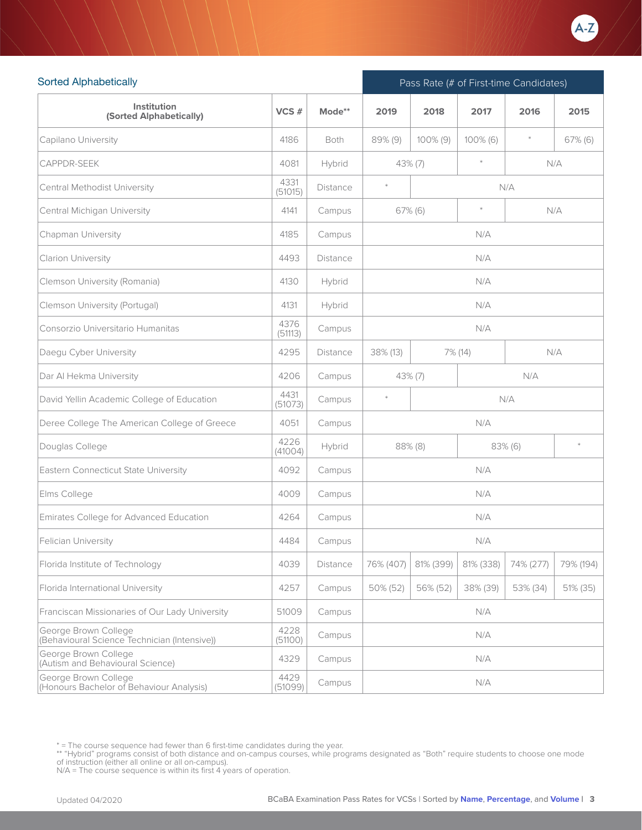

| <b>Sorted Alphabetically</b>                                         |                 |                 | Pass Rate (# of First-time Candidates) |             |           |           |            |  |
|----------------------------------------------------------------------|-----------------|-----------------|----------------------------------------|-------------|-----------|-----------|------------|--|
| Institution<br>(Sorted Alphabetically)                               | VCS#            | Mode**          | 2019                                   | 2018        | 2017      | 2016      | 2015       |  |
| Capilano University                                                  | 4186            | Both            | 89% (9)                                | $100\%$ (9) | 100% (6)  | $\ast$    | $67\%$ (6) |  |
| <b>CAPPDR-SEEK</b>                                                   | 4081            | Hybrid          |                                        | $43\%$ (7)  | $\ast$    |           | N/A        |  |
| Central Methodist University                                         | 4331<br>(51015) | Distance        | $\ast$                                 |             |           | N/A       |            |  |
| Central Michigan University                                          | 4141            | Campus          |                                        | $67\%$ (6)  | $\ast$    |           | N/A        |  |
| Chapman University                                                   | 4185            | Campus          |                                        |             | N/A       |           |            |  |
| Clarion University                                                   | 4493            | <b>Distance</b> |                                        |             | N/A       |           |            |  |
| Clemson University (Romania)                                         | 4130            | Hybrid          |                                        |             | N/A       |           |            |  |
| Clemson University (Portugal)                                        | 4131            | Hybrid          |                                        |             | N/A       |           |            |  |
| Consorzio Universitario Humanitas                                    | 4376<br>(51113) | Campus          |                                        |             | N/A       |           |            |  |
| Daegu Cyber University                                               | 4295            | Distance        | 38% (13)                               |             | 7% (14)   |           | N/A        |  |
| Dar Al Hekma University                                              | 4206            | Campus          | N/A<br>$43\%$ (7)                      |             |           |           |            |  |
| David Yellin Academic College of Education                           | 4431<br>(51073) | Campus          | $\ast$                                 |             |           | N/A       |            |  |
| Deree College The American College of Greece                         | 4051            | Campus          |                                        |             | N/A       |           |            |  |
| Douglas College                                                      | 4226<br>(41004) | Hybrid          |                                        | $88\%$ (8)  |           | 83% (6)   | $\ast$     |  |
| Eastern Connecticut State University                                 | 4092            | Campus          |                                        |             | N/A       |           |            |  |
| Elms College                                                         | 4009            | Campus          |                                        |             | N/A       |           |            |  |
| Emirates College for Advanced Education                              | 4264            | Campus          |                                        |             | N/A       |           |            |  |
| Felician University                                                  | 4484            | Campus          |                                        |             | N/A       |           |            |  |
| Florida Institute of Technology                                      | 4039            | Distance        | 76% (407)                              | 81% (399)   | 81% (338) | 74% (277) | 79% (194)  |  |
| Florida International University                                     | 4257            | Campus          | 50% (52)                               | 56% (52)    | 38% (39)  | 53% (34)  | 51% (35)   |  |
| Franciscan Missionaries of Our Lady University                       | 51009           | Campus          |                                        |             | N/A       |           |            |  |
| George Brown College<br>(Behavioural Science Technician (Intensive)) | 4228<br>(51100) | Campus          |                                        |             | N/A       |           |            |  |
| George Brown College<br>(Autism and Behavioural Science)             | 4329            | Campus          |                                        |             | N/A       |           |            |  |
| George Brown College<br>(Honours Bachelor of Behaviour Analysis)     | 4429<br>(51099) | Campus          |                                        |             | N/A       |           |            |  |

<sup>\* =</sup> The course sequence had fewer than 6 first-time candidates during the year.

<sup>\*\* &</sup>quot;Hybrid" programs consist of both distance and on-campus courses, while programs designated as "Both" require students to choose one mode<br>of instruction (either all online or all on-campus).<br>N/A = The course sequence is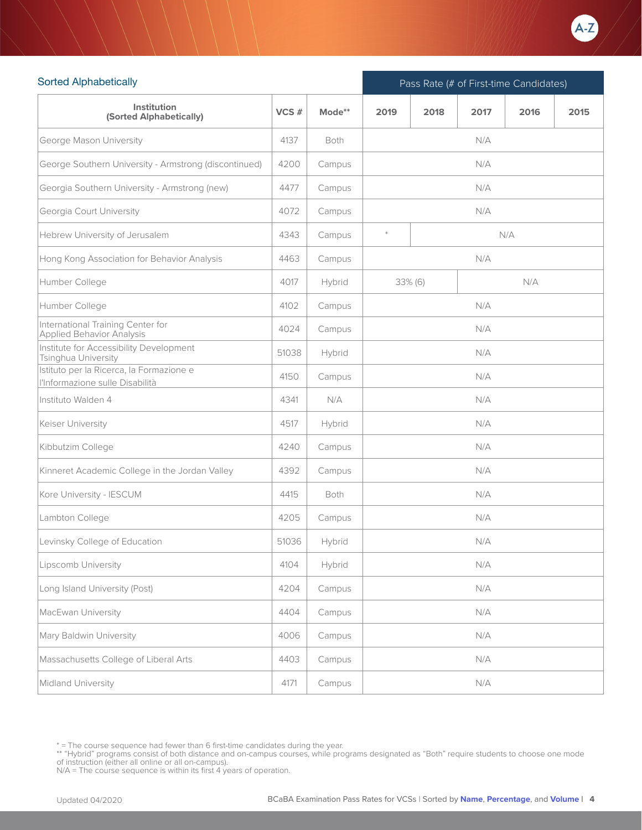

| <b>Sorted Alphabetically</b>                                                |       |             | Pass Rate (# of First-time Candidates) |         |      |      |      |  |  |
|-----------------------------------------------------------------------------|-------|-------------|----------------------------------------|---------|------|------|------|--|--|
| Institution<br>(Sorted Alphabetically)                                      | VCS#  | Mode**      | 2019                                   | 2018    | 2017 | 2016 | 2015 |  |  |
| George Mason University                                                     | 4137  | <b>Both</b> |                                        |         | N/A  |      |      |  |  |
| George Southern University - Armstrong (discontinued)                       | 4200  | Campus      |                                        |         | N/A  |      |      |  |  |
| Georgia Southern University - Armstrong (new)                               | 4477  | Campus      |                                        |         | N/A  |      |      |  |  |
| Georgia Court University                                                    | 4072  | Campus      |                                        |         | N/A  |      |      |  |  |
| Hebrew University of Jerusalem                                              | 4343  | Campus      | $\ast$<br>N/A                          |         |      |      |      |  |  |
| Hong Kong Association for Behavior Analysis                                 | 4463  | Campus      |                                        | N/A     |      |      |      |  |  |
| Humber College                                                              | 4017  | Hybrid      |                                        | 33% (6) |      | N/A  |      |  |  |
| Humber College                                                              | 4102  | Campus      |                                        |         | N/A  |      |      |  |  |
| International Training Center for<br><b>Applied Behavior Analysis</b>       | 4024  | Campus      |                                        |         | N/A  |      |      |  |  |
| Institute for Accessibility Development<br>Tsinghua University              | 51038 | Hybrid      |                                        |         | N/A  |      |      |  |  |
| Istituto per la Ricerca, la Formazione e<br>l'Informazione sulle Disabilità | 4150  | Campus      |                                        |         | N/A  |      |      |  |  |
| Instituto Walden 4                                                          | 4341  | N/A         |                                        |         | N/A  |      |      |  |  |
| Keiser University                                                           | 4517  | Hybrid      |                                        |         | N/A  |      |      |  |  |
| Kibbutzim College                                                           | 4240  | Campus      |                                        |         | N/A  |      |      |  |  |
| Kinneret Academic College in the Jordan Valley                              | 4392  | Campus      |                                        |         | N/A  |      |      |  |  |
| Kore University - IESCUM                                                    | 4415  | Both        |                                        |         | N/A  |      |      |  |  |
| Lambton College                                                             | 4205  | Campus      |                                        |         | N/A  |      |      |  |  |
| Levinsky College of Education                                               | 51036 | Hybrid      |                                        |         | N/A  |      |      |  |  |
| Lipscomb University                                                         | 4104  | Hybrid      |                                        |         | N/A  |      |      |  |  |
| Long Island University (Post)                                               | 4204  | Campus      |                                        |         | N/A  |      |      |  |  |
| MacEwan University                                                          | 4404  | Campus      |                                        |         | N/A  |      |      |  |  |
| Mary Baldwin University                                                     | 4006  | Campus      |                                        |         | N/A  |      |      |  |  |
| Massachusetts College of Liberal Arts                                       | 4403  | Campus      |                                        |         | N/A  |      |      |  |  |
| Midland University                                                          | 4171  | Campus      |                                        |         | N/A  |      |      |  |  |

<sup>\* =</sup> The course sequence had fewer than 6 first-time candidates during the year.

<sup>\*\* &</sup>quot;Hybrid" programs consist of both distance and on-campus courses, while programs designated as "Both" require students to choose one mode<br>of instruction (either all online or all on-campus).<br>N/A = The course sequence is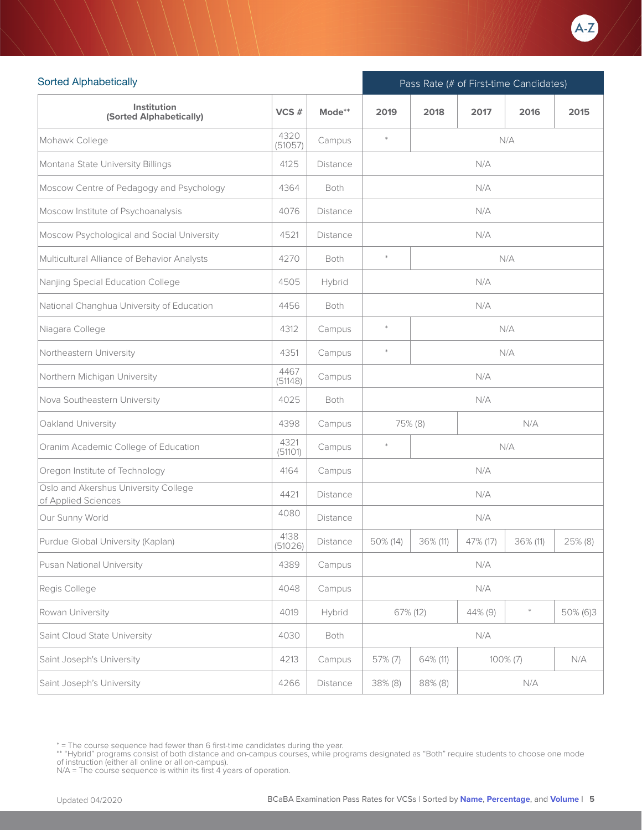

| <b>Sorted Alphabetically</b>                                |                 |                 | Pass Rate (# of First-time Candidates) |          |          |             |          |  |
|-------------------------------------------------------------|-----------------|-----------------|----------------------------------------|----------|----------|-------------|----------|--|
| Institution<br>(Sorted Alphabetically)                      | VCS#            | Mode**          | 2019                                   | 2018     | 2017     | 2016        | 2015     |  |
| Mohawk College                                              | 4320<br>(51057) | Campus          | $\ast$                                 |          |          | N/A         |          |  |
| Montana State University Billings                           | 4125            | <b>Distance</b> |                                        |          | N/A      |             |          |  |
| Moscow Centre of Pedagogy and Psychology                    | 4364            | <b>Both</b>     |                                        |          | N/A      |             |          |  |
| Moscow Institute of Psychoanalysis                          | 4076            | <b>Distance</b> | N/A                                    |          |          |             |          |  |
| Moscow Psychological and Social University                  | 4521            | Distance        |                                        |          | N/A      |             |          |  |
| Multicultural Alliance of Behavior Analysts                 | 4270            | Both            | $\ast$                                 |          |          | N/A         |          |  |
| Nanjing Special Education College                           | 4505            | Hybrid          |                                        |          | N/A      |             |          |  |
| National Changhua University of Education                   | 4456            | Both            |                                        |          | N/A      |             |          |  |
| Niagara College                                             | 4312            | Campus          | $\ast$                                 |          |          | N/A         |          |  |
| Northeastern University                                     | 4351            | Campus          | $\ast$                                 |          |          | N/A         |          |  |
| Northern Michigan University                                | 4467<br>(51148) | Campus          | N/A                                    |          |          |             |          |  |
| Nova Southeastern University                                | 4025            | <b>Both</b>     | N/A                                    |          |          |             |          |  |
| Oakland University                                          | 4398            | Campus          |                                        | 75% (8)  |          | N/A         |          |  |
| Oranim Academic College of Education                        | 4321<br>(51101) | Campus          | $\ast$                                 |          |          | N/A         |          |  |
| Oregon Institute of Technology                              | 4164            | Campus          |                                        |          | N/A      |             |          |  |
| Oslo and Akershus University College<br>of Applied Sciences | 4421            | <b>Distance</b> |                                        |          | N/A      |             |          |  |
| Our Sunny World                                             | 4080            | Distance        |                                        |          | N/A      |             |          |  |
| Purdue Global University (Kaplan)                           | 4138<br>(51026) | Distance        | 50% (14)                               | 36% (11) | 47% (17) | 36% (11)    | 25% (8)  |  |
| Pusan National University                                   | 4389            | Campus          |                                        |          | N/A      |             |          |  |
| Regis College                                               | 4048            | Campus          |                                        |          | N/A      |             |          |  |
| Rowan University                                            | 4019            | Hybrid          |                                        | 67% (12) | 44% (9)  | $\ast$      | 50% (6)3 |  |
| Saint Cloud State University                                | 4030            | Both            |                                        |          | N/A      |             |          |  |
| Saint Joseph's University                                   | 4213            | Campus          | 57% (7)                                | 64% (11) |          | $100\% (7)$ | N/A      |  |
| Saint Joseph's University                                   | 4266            | Distance        | 38% (8)                                | 88% (8)  |          | N/A         |          |  |

<sup>\* =</sup> The course sequence had fewer than 6 first-time candidates during the year.

<sup>\*\* &</sup>quot;Hybrid" programs consist of both distance and on-campus courses, while programs designated as "Both" require students to choose one mode<br>of instruction (either all online or all on-campus).<br>N/A = The course sequence is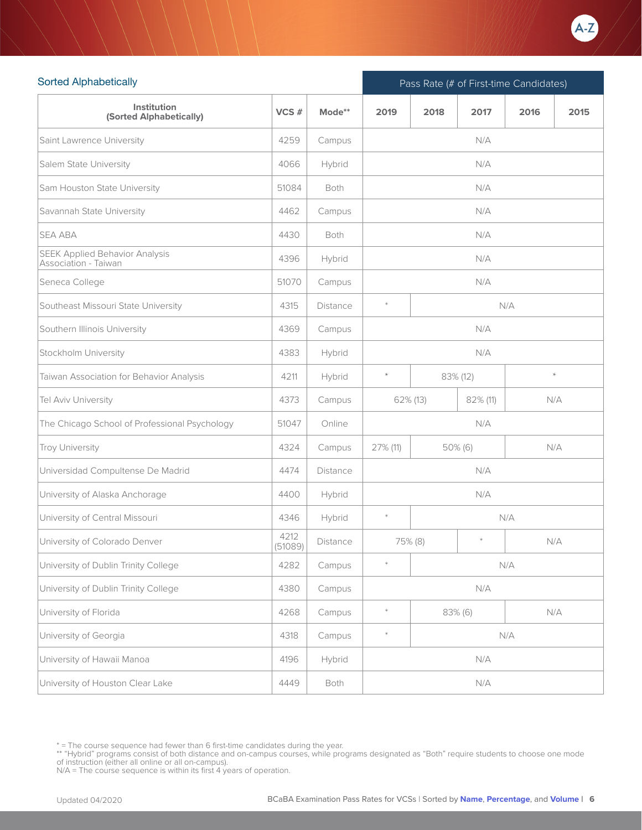

| <b>Sorted Alphabetically</b>                                  |                 |                 | Pass Rate (# of First-time Candidates) |                     |            |      |      |  |
|---------------------------------------------------------------|-----------------|-----------------|----------------------------------------|---------------------|------------|------|------|--|
| Institution<br>(Sorted Alphabetically)                        | VCS#            | Mode**          | 2019                                   | 2018                | 2017       | 2016 | 2015 |  |
| Saint Lawrence University                                     | 4259            | Campus          |                                        |                     | N/A        |      |      |  |
| Salem State University                                        | 4066            | Hybrid          |                                        |                     | N/A        |      |      |  |
| Sam Houston State University                                  | 51084           | <b>Both</b>     |                                        |                     | N/A        |      |      |  |
| Savannah State University                                     | 4462            | Campus          |                                        |                     | N/A        |      |      |  |
| <b>SEA ABA</b>                                                | 4430            | <b>Both</b>     |                                        |                     | N/A        |      |      |  |
| <b>SEEK Applied Behavior Analysis</b><br>Association - Taiwan | 4396            | Hybrid          | N/A                                    |                     |            |      |      |  |
| Seneca College                                                | 51070           | Campus          |                                        |                     | N/A        |      |      |  |
| Southeast Missouri State University                           | 4315            | <b>Distance</b> | $\ast$                                 |                     |            | N/A  |      |  |
| Southern Illinois University                                  | 4369            | Campus          |                                        |                     | N/A        |      |      |  |
| Stockholm University                                          | 4383            | Hybrid          | N/A                                    |                     |            |      |      |  |
| Taiwan Association for Behavior Analysis                      | 4211            | Hybrid          | $\star$                                | $\star$<br>83% (12) |            |      |      |  |
| Tel Aviv University                                           | 4373            | Campus          |                                        | 62% (13)            | 82% (11)   | N/A  |      |  |
| The Chicago School of Professional Psychology                 | 51047           | Online          |                                        |                     | N/A        |      |      |  |
| Troy University                                               | 4324            | Campus          | 27% (11)                               |                     | $50\%$ (6) | N/A  |      |  |
| Universidad Compultense De Madrid                             | 4474            | Distance        |                                        |                     | N/A        |      |      |  |
| University of Alaska Anchorage                                | 4400            | Hybrid          |                                        |                     | N/A        |      |      |  |
| University of Central Missouri                                | 4346            | Hybrid          | $\ast$                                 |                     |            | N/A  |      |  |
| University of Colorado Denver                                 | 4212<br>(51089) | Distance        |                                        | 75% (8)             | $\ast$     | N/A  |      |  |
| University of Dublin Trinity College                          | 4282            | Campus          | $\ast$                                 |                     |            | N/A  |      |  |
| University of Dublin Trinity College                          | 4380            | Campus          |                                        |                     | N/A        |      |      |  |
| University of Florida                                         | 4268            | Campus          | $\ast$                                 |                     | 83% (6)    | N/A  |      |  |
| University of Georgia                                         | 4318            | Campus          | $\ast$                                 |                     |            | N/A  |      |  |
| University of Hawaii Manoa                                    | 4196            | Hybrid          |                                        |                     | N/A        |      |      |  |
| University of Houston Clear Lake                              | 4449            | Both            |                                        |                     | N/A        |      |      |  |

<sup>\* =</sup> The course sequence had fewer than 6 first-time candidates during the year.

<sup>\*\* &</sup>quot;Hybrid" programs consist of both distance and on-campus courses, while programs designated as "Both" require students to choose one mode<br>of instruction (either all online or all on-campus).<br>N/A = The course sequence is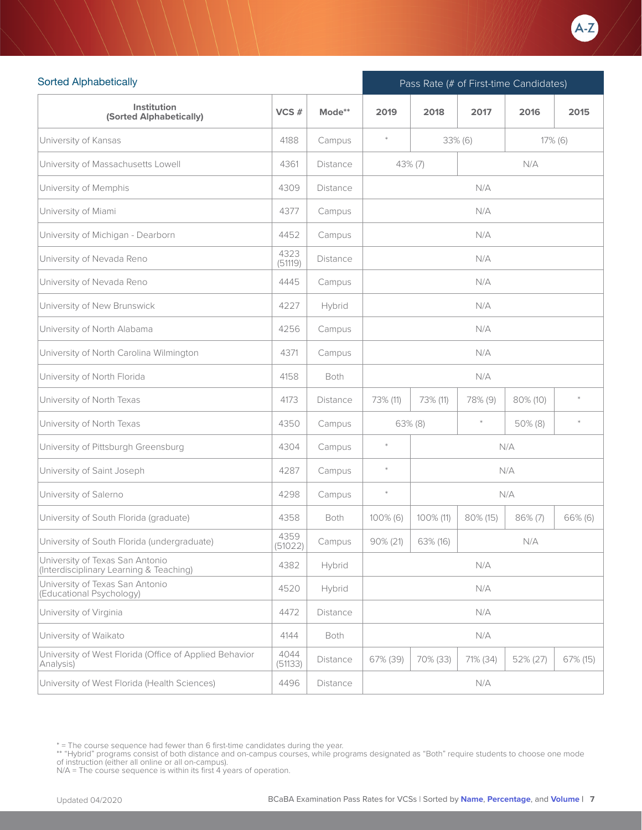

| <b>Sorted Alphabetically</b>                                               |                 |                 | Pass Rate (# of First-time Candidates)      |            |          |            |            |  |
|----------------------------------------------------------------------------|-----------------|-----------------|---------------------------------------------|------------|----------|------------|------------|--|
| Institution<br>(Sorted Alphabetically)                                     | VCS#            | Mode**          | 2019                                        | 2018       | 2017     | 2016       | 2015       |  |
| University of Kansas                                                       | 4188            | Campus          | $\ast$                                      |            | 33% (6)  |            | $17\%$ (6) |  |
| University of Massachusetts Lowell                                         | 4361            | <b>Distance</b> |                                             | $43\%$ (7) |          | N/A        |            |  |
| University of Memphis                                                      | 4309            | <b>Distance</b> |                                             |            | N/A      |            |            |  |
| University of Miami                                                        | 4377            | Campus          |                                             |            | N/A      |            |            |  |
| University of Michigan - Dearborn                                          | 4452            | Campus          |                                             |            | N/A      |            |            |  |
| University of Nevada Reno                                                  | 4323<br>(51119) | <b>Distance</b> |                                             |            | N/A      |            |            |  |
| University of Nevada Reno                                                  | 4445            | Campus          |                                             |            | N/A      |            |            |  |
| University of New Brunswick                                                | 4227            | Hybrid          |                                             |            | N/A      |            |            |  |
| University of North Alabama                                                | 4256            | Campus          |                                             |            | N/A      |            |            |  |
| University of North Carolina Wilmington                                    | 4371            | Campus          | N/A                                         |            |          |            |            |  |
| University of North Florida                                                | 4158            | Both            | N/A                                         |            |          |            |            |  |
| University of North Texas                                                  | 4173            | Distance        | 73% (11)<br>73% (11)<br>78% (9)<br>80% (10) |            |          |            | $\ast$     |  |
| University of North Texas                                                  | 4350            | Campus          |                                             | $63\%$ (8) | $\ast$   | $50\%$ (8) | $\ast$     |  |
| University of Pittsburgh Greensburg                                        | 4304            | Campus          | $\ast$                                      |            |          | N/A        |            |  |
| University of Saint Joseph                                                 | 4287            | Campus          | $\ast$                                      |            |          | N/A        |            |  |
| University of Salerno                                                      | 4298            | Campus          | $\ast$                                      |            |          | N/A        |            |  |
| University of South Florida (graduate)                                     | 4358            | Both            | 100% (6)                                    | 100% (11)  | 80% (15) | $86\% (7)$ | 66% (6)    |  |
| University of South Florida (undergraduate)                                | 4359<br>(51022) | Campus          | 90% (21)                                    | 63% (16)   |          | N/A        |            |  |
| University of Texas San Antonio<br>(Interdisciplinary Learning & Teaching) | 4382            | Hybrid          |                                             |            | N/A      |            |            |  |
| University of Texas San Antonio<br>(Educational Psychology)                | 4520            | Hybrid          |                                             |            | N/A      |            |            |  |
| University of Virginia                                                     | 4472            | Distance        |                                             |            | N/A      |            |            |  |
| University of Waikato                                                      | 4144            | Both            |                                             |            | N/A      |            |            |  |
| University of West Florida (Office of Applied Behavior<br>Analysis)        | 4044<br>(51133) | Distance        | 67% (39)                                    | 70% (33)   | 71% (34) | 52% (27)   | 67% (15)   |  |
| University of West Florida (Health Sciences)                               | 4496            | Distance        |                                             |            | N/A      |            |            |  |

<sup>\* =</sup> The course sequence had fewer than 6 first-time candidates during the year.

<sup>\*\* &</sup>quot;Hybrid" programs consist of both distance and on-campus courses, while programs designated as "Both" require students to choose one mode<br>of instruction (either all online or all on-campus).<br>N/A = The course sequence is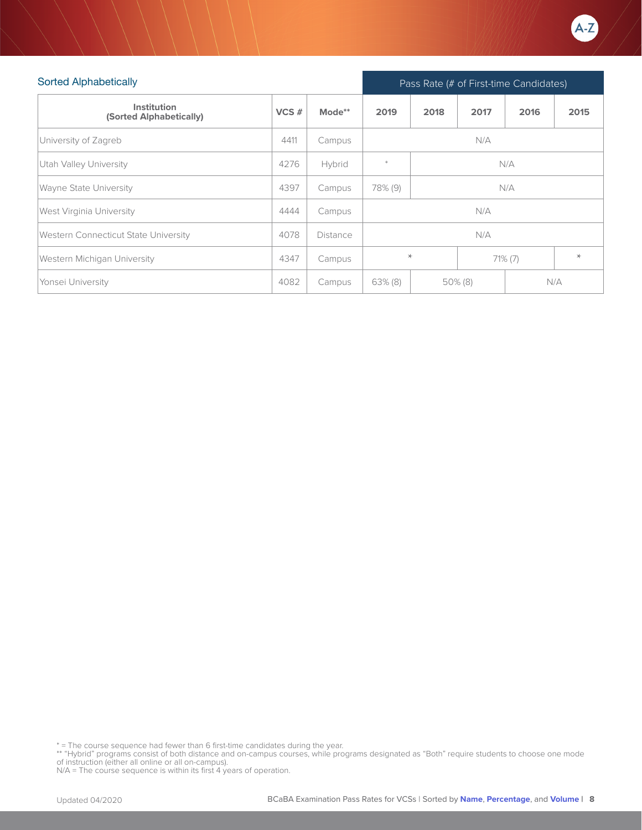

| <b>Sorted Alphabetically</b>           |          |          |            |                       | Pass Rate (# of First-time Candidates) |      |      |  |  |  |
|----------------------------------------|----------|----------|------------|-----------------------|----------------------------------------|------|------|--|--|--|
| Institution<br>(Sorted Alphabetically) | $VCS \#$ | Mode**   | 2019       | 2018                  | 2017                                   | 2016 | 2015 |  |  |  |
| University of Zagreb                   | 4411     | Campus   |            | N/A                   |                                        |      |      |  |  |  |
| Utah Valley University                 | 4276     | Hybrid   | $\star$    | N/A                   |                                        |      |      |  |  |  |
| Wayne State University                 | 4397     | Campus   | 78% (9)    | N/A                   |                                        |      |      |  |  |  |
| West Virginia University               | 4444     | Campus   |            |                       | N/A                                    |      |      |  |  |  |
| Western Connecticut State University   | 4078     | Distance | N/A        |                       |                                        |      |      |  |  |  |
| Western Michigan University            | 4347     | Campus   |            | $\star$<br>$71\% (7)$ |                                        |      |      |  |  |  |
| Yonsei University                      | 4082     | Campus   | $63\%$ (8) |                       | $50\%$ (8)                             |      | N/A  |  |  |  |

\* = The course sequence had fewer than 6 first-time candidates during the year.

\*\* "Hybrid" programs consist of both distance and on-campus courses, while programs designated as "Both" require students to choose one mode<br>of instruction (either all online or all on-campus).<br>N/A = The course sequence is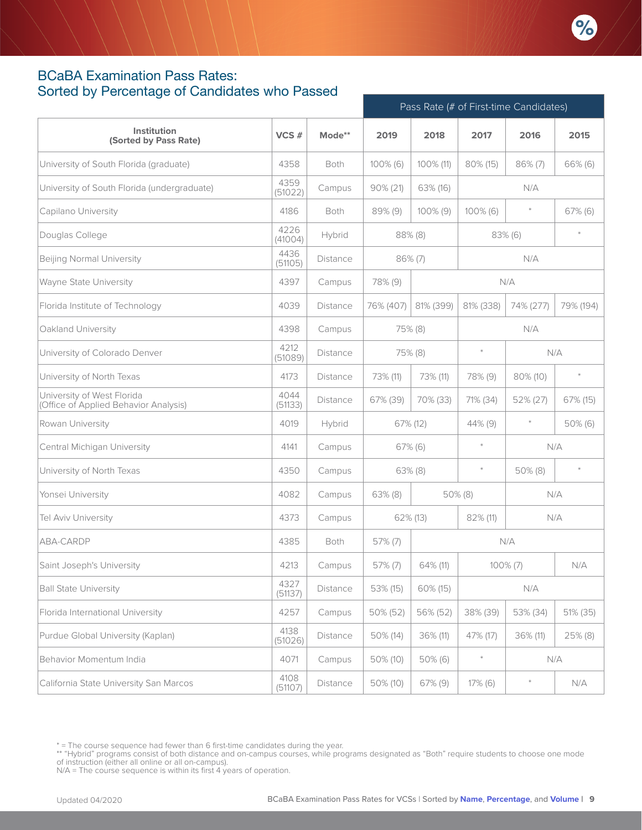

#### <span id="page-8-0"></span>BCaBA Examination Pass Rates: Sorted by Percentage of Candidates who Passed

|                                                                     |                 |                 | Pass Rate (# of First-time Candidates) |            |            |             |           |  |
|---------------------------------------------------------------------|-----------------|-----------------|----------------------------------------|------------|------------|-------------|-----------|--|
| Institution<br>(Sorted by Pass Rate)                                | VCS#            | Mode**          | 2019                                   | 2018       | 2017       | 2016        | 2015      |  |
| University of South Florida (graduate)                              | 4358            | Both            | $100\%$ (6)                            | 100% (11)  | 80% (15)   | $86\%$ (7)  | 66% (6)   |  |
| University of South Florida (undergraduate)                         | 4359<br>(51022) | Campus          | $90\% (21)$                            | 63% (16)   |            | N/A         |           |  |
| Capilano University                                                 | 4186            | Both            | 89% (9)                                | 100% (9)   | 100% (6)   |             | 67% (6)   |  |
| Douglas College                                                     | 4226<br>(41004) | Hybrid          |                                        | $88\%$ (8) |            | 83% (6)     | $\ast$    |  |
| <b>Beijing Normal University</b>                                    | 4436<br>(51105) | <b>Distance</b> |                                        | $86\%$ (7) |            | N/A         |           |  |
| Wayne State University                                              | 4397            | Campus          | 78% (9)                                |            |            | N/A         |           |  |
| Florida Institute of Technology                                     | 4039            | Distance        | 76% (407)                              | 81% (399)  | 81% (338)  | 74% (277)   | 79% (194) |  |
| Oakland University                                                  | 4398            | Campus          |                                        | 75% (8)    |            | N/A         |           |  |
| University of Colorado Denver                                       | 4212<br>(51089) | Distance        |                                        | 75% (8)    | $\ast$     | N/A         |           |  |
| University of North Texas                                           | 4173            | Distance        | 73% (11)                               | 73% (11)   | 78% (9)    | 80% (10)    | $\pm$     |  |
| University of West Florida<br>(Office of Applied Behavior Analysis) | 4044<br>(51133) | Distance        | 67% (39)                               | 70% (33)   | 71% (34)   | 52% (27)    | 67% (15)  |  |
| Rowan University                                                    | 4019            | Hybrid          |                                        | 67% (12)   | 44% (9)    | $\ast$      | 50% (6)   |  |
| Central Michigan University                                         | 4141            | Campus          |                                        | $67\%$ (6) | $\ast$     |             | N/A       |  |
| University of North Texas                                           | 4350            | Campus          |                                        | $63\%$ (8) | $\ast$     | $50\%$ (8)  | $\pm$     |  |
| Yonsei University                                                   | 4082            | Campus          | $63\%$ (8)                             |            | $50\%$ (8) |             | N/A       |  |
| Tel Aviv University                                                 | 4373            | Campus          |                                        | 62% (13)   | 82% (11)   |             | N/A       |  |
| ABA-CARDP                                                           | 4385            | Both            | $57\%$ (7)                             |            |            | N/A         |           |  |
| Saint Joseph's University                                           | 4213            | Campus          | 57% (7)                                | 64% (11)   |            | $100\%$ (7) | N/A       |  |
| <b>Ball State University</b>                                        | 4327<br>(51137) | Distance        | 53% (15)                               | 60% (15)   |            | N/A         |           |  |
| Florida International University                                    | 4257            | Campus          | 50% (52)                               | 56% (52)   | 38% (39)   | 53% (34)    | 51% (35)  |  |
| Purdue Global University (Kaplan)                                   | 4138<br>(51026) | Distance        | 50% (14)                               | 36% (11)   | 47% (17)   | 36% (11)    | 25% (8)   |  |
| Behavior Momentum India                                             | 4071            | Campus          | 50% (10)                               | 50% (6)    | $\ast$     |             | N/A       |  |
| California State University San Marcos                              | 4108<br>(51107) | Distance        | 50% (10)                               | 67% (9)    | $17\%$ (6) |             | N/A       |  |

\*\* "Hybrid" programs consist of both distance and on-campus courses, while programs designated as "Both" require students to choose one mode<br>of instruction (either all online or all on-campus).

N/A = The course sequence is within its first 4 years of operation.

<sup>\* =</sup> The course sequence had fewer than 6 first-time candidates during the year.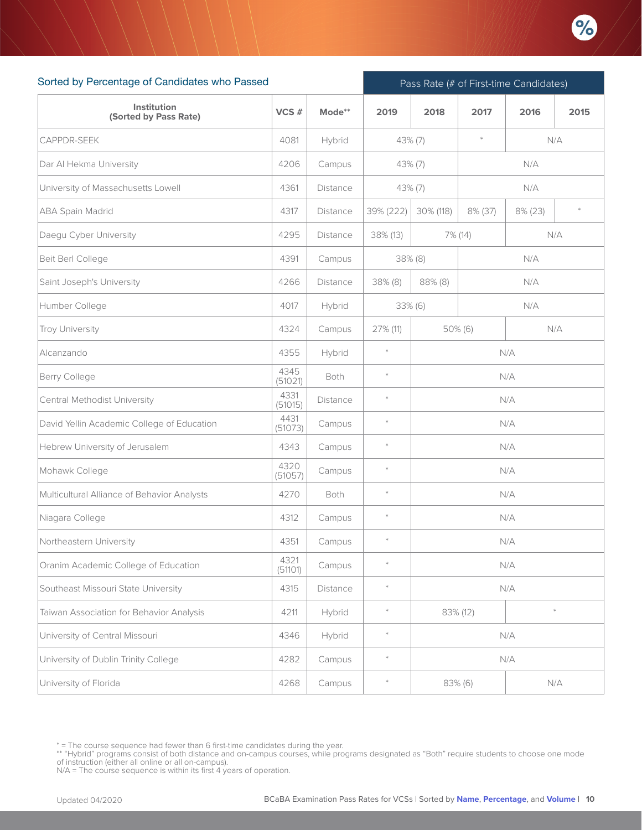

| Sorted by Percentage of Candidates who Passed |                 |                 |           |            |                       | Pass Rate (# of First-time Candidates) |      |
|-----------------------------------------------|-----------------|-----------------|-----------|------------|-----------------------|----------------------------------------|------|
| Institution<br>(Sorted by Pass Rate)          | VCS#            | Mode**          | 2019      | 2018       | 2017                  | 2016                                   | 2015 |
| CAPPDR-SEEK                                   | 4081            | Hybrid          | 43% (7)   |            | $\frac{1}{2}$         | N/A                                    |      |
| Dar Al Hekma University                       | 4206            | Campus          |           | $43\%$ (7) |                       | N/A                                    |      |
| University of Massachusetts Lowell            | 4361            | Distance        |           | $43\%$ (7) |                       | N/A                                    |      |
| <b>ABA Spain Madrid</b>                       | 4317            | <b>Distance</b> | 39% (222) | 30% (118)  | 8% (37)<br>$8\%$ (23) |                                        |      |
| Daegu Cyber University                        | 4295            | Distance        | 38% (13)  |            | 7% (14)               | N/A                                    |      |
| Beit Berl College                             | 4391            | Campus          |           | 38% (8)    |                       | N/A                                    |      |
| Saint Joseph's University                     | 4266            | Distance        | 38% (8)   | 88% (8)    |                       | N/A                                    |      |
| Humber College                                | 4017            | Hybrid          |           | 33% (6)    |                       | N/A                                    |      |
| <b>Troy University</b>                        | 4324            | Campus          | 27% (11)  |            | 50% (6)               | N/A                                    |      |
| Alcanzando                                    | 4355            | Hybrid          | $\ast$    | N/A        |                       |                                        |      |
| Berry College                                 | 4345<br>(51021) | Both            | $\ast$    | N/A        |                       |                                        |      |
| Central Methodist University                  | 4331<br>(51015) | <b>Distance</b> | $\ast$    | N/A        |                       |                                        |      |
| David Yellin Academic College of Education    | 4431<br>(51073) | Campus          | $\ast$    |            |                       | N/A                                    |      |
| Hebrew University of Jerusalem                | 4343            | Campus          | $\ast$    |            |                       | N/A                                    |      |
| Mohawk College                                | 4320<br>(51057) | Campus          | $\ast$    |            |                       | N/A                                    |      |
| Multicultural Alliance of Behavior Analysts   | 4270            | Both            | $\ast$    |            |                       | N/A                                    |      |
| Niagara College                               | 4312            | Campus          | $\ast$    |            |                       | N/A                                    |      |
| Northeastern University                       | 4351            | Campus          | $*$       |            |                       | N/A                                    |      |
| Oranim Academic College of Education          | 4321<br>(51101) | Campus          | $\ast$    |            |                       | N/A                                    |      |
| Southeast Missouri State University           | 4315            | Distance        | $\ast$    |            |                       | N/A                                    |      |
| Taiwan Association for Behavior Analysis      | 4211            | Hybrid          | $\ast$    |            | 83% (12)              | $\ast$                                 |      |
| University of Central Missouri                | 4346            | Hybrid          | $\ast$    |            |                       | N/A                                    |      |
| University of Dublin Trinity College          | 4282            | Campus          | $\ast$    |            |                       | N/A                                    |      |
| University of Florida                         | 4268            | Campus          | $\ast$    |            | 83% (6)               | N/A                                    |      |

<sup>\* =</sup> The course sequence had fewer than 6 first-time candidates during the year.

<sup>\*\* &</sup>quot;Hybrid" programs consist of both distance and on-campus courses, while programs designated as "Both" require students to choose one mode<br>of instruction (either all online or all on-campus).<br>N/A = The course sequence is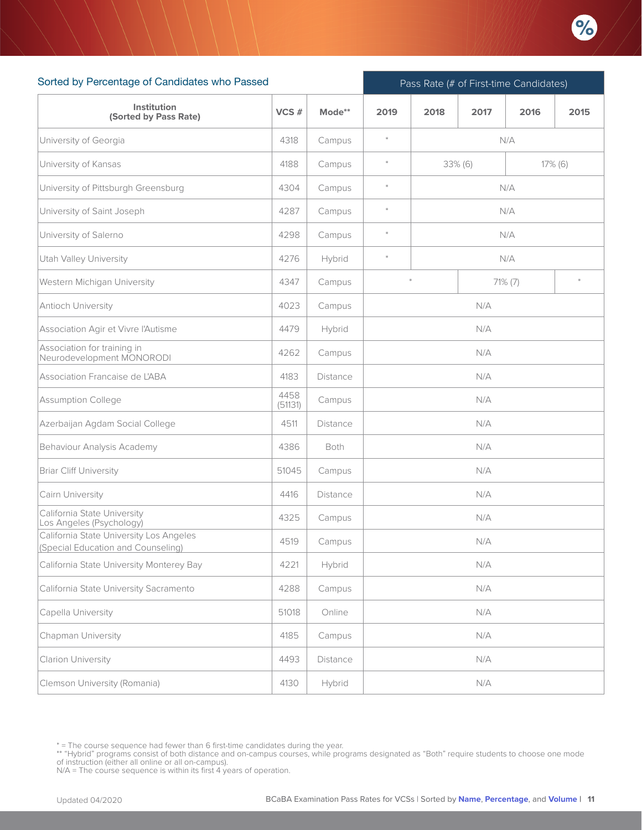

| Sorted by Percentage of Candidates who Passed                                 |                 |          | Pass Rate (# of First-time Candidates) |            |      |            |      |  |  |
|-------------------------------------------------------------------------------|-----------------|----------|----------------------------------------|------------|------|------------|------|--|--|
| Institution<br>(Sorted by Pass Rate)                                          | VCS#            | Mode**   | 2019                                   | 2018       | 2017 | 2016       | 2015 |  |  |
| University of Georgia                                                         | 4318            | Campus   | $\ast$                                 | N/A        |      |            |      |  |  |
| University of Kansas                                                          | 4188            | Campus   | $\ast$                                 | $33\%$ (6) |      | $17\%$ (6) |      |  |  |
| University of Pittsburgh Greensburg                                           | 4304            | Campus   | $\ast$                                 |            |      | N/A        |      |  |  |
| University of Saint Joseph                                                    | 4287            | Campus   | $\ast$                                 |            |      | N/A        |      |  |  |
| University of Salerno                                                         | 4298            | Campus   | $\ast$                                 |            |      | N/A        |      |  |  |
| Utah Valley University                                                        | 4276            | Hybrid   | $\ast$                                 | N/A        |      |            |      |  |  |
| Western Michigan University                                                   | 4347            | Campus   |                                        | 71% (7)    |      |            |      |  |  |
| Antioch University                                                            | 4023            | Campus   |                                        |            | N/A  |            |      |  |  |
| Association Agir et Vivre l'Autisme                                           | 4479            | Hybrid   |                                        |            | N/A  |            |      |  |  |
| Association for training in<br>Neurodevelopment MONORODI                      | 4262            | Campus   |                                        | N/A        |      |            |      |  |  |
| Association Francaise de L'ABA                                                | 4183            | Distance |                                        | N/A        |      |            |      |  |  |
| Assumption College                                                            | 4458<br>(51131) | Campus   |                                        | N/A        |      |            |      |  |  |
| Azerbaijan Agdam Social College                                               | 4511            | Distance |                                        |            | N/A  |            |      |  |  |
| Behaviour Analysis Academy                                                    | 4386            | Both     |                                        |            | N/A  |            |      |  |  |
| <b>Briar Cliff University</b>                                                 | 51045           | Campus   |                                        |            | N/A  |            |      |  |  |
| Cairn University                                                              | 4416            | Distance |                                        |            | N/A  |            |      |  |  |
| California State University<br>Los Angeles (Psychology)                       | 4325            | Campus   |                                        |            | N/A  |            |      |  |  |
| California State University Los Angeles<br>(Special Education and Counseling) | 4519            | Campus   |                                        |            | N/A  |            |      |  |  |
| California State University Monterey Bay                                      | 4221            | Hybrid   |                                        |            | N/A  |            |      |  |  |
| California State University Sacramento                                        | 4288            | Campus   |                                        |            | N/A  |            |      |  |  |
| Capella University                                                            | 51018           | Online   |                                        |            | N/A  |            |      |  |  |
| Chapman University                                                            | 4185            | Campus   |                                        |            | N/A  |            |      |  |  |
| Clarion University                                                            | 4493            | Distance |                                        |            | N/A  |            |      |  |  |
| Clemson University (Romania)                                                  | 4130            | Hybrid   |                                        |            | N/A  |            |      |  |  |

<sup>\* =</sup> The course sequence had fewer than 6 first-time candidates during the year.

<sup>\*\* &</sup>quot;Hybrid" programs consist of both distance and on-campus courses, while programs designated as "Both" require students to choose one mode<br>of instruction (either all online or all on-campus).<br>N/A = The course sequence is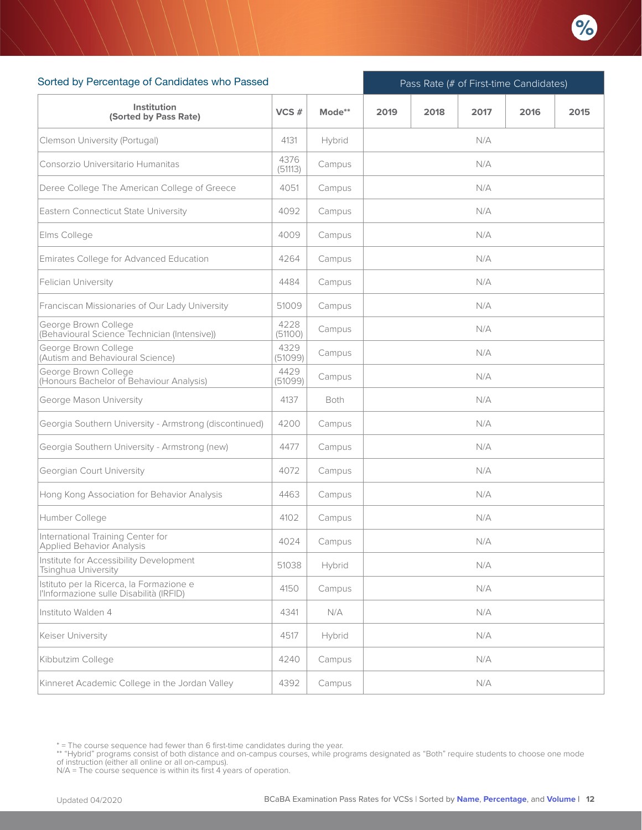

| Sorted by Percentage of Candidates who Passed                                       |                 |             | Pass Rate (# of First-time Candidates) |      |      |      |      |  |  |
|-------------------------------------------------------------------------------------|-----------------|-------------|----------------------------------------|------|------|------|------|--|--|
| Institution<br>(Sorted by Pass Rate)                                                | VCS#            | Mode**      | 2019                                   | 2018 | 2017 | 2016 | 2015 |  |  |
| Clemson University (Portugal)                                                       | 4131            | Hybrid      |                                        |      | N/A  |      |      |  |  |
| Consorzio Universitario Humanitas                                                   | 4376<br>(51113) | Campus      |                                        |      | N/A  |      |      |  |  |
| Deree College The American College of Greece                                        | 4051            | Campus      |                                        |      | N/A  |      |      |  |  |
| Eastern Connecticut State University                                                | 4092            | Campus      |                                        |      | N/A  |      |      |  |  |
| Elms College                                                                        | 4009            | Campus      |                                        |      | N/A  |      |      |  |  |
| Emirates College for Advanced Education                                             | 4264            | Campus      |                                        |      | N/A  |      |      |  |  |
| Felician University                                                                 | 4484            | Campus      |                                        |      | N/A  |      |      |  |  |
| Franciscan Missionaries of Our Lady University                                      | 51009           | Campus      |                                        |      | N/A  |      |      |  |  |
| George Brown College<br>(Behavioural Science Technician (Intensive))                | 4228<br>(51100) | Campus      |                                        |      | N/A  |      |      |  |  |
| George Brown College<br>(Autism and Behavioural Science)                            | 4329<br>(51099) | Campus      |                                        |      | N/A  |      |      |  |  |
| George Brown College<br>(Honours Bachelor of Behaviour Analysis)                    | 4429<br>(51099) | Campus      |                                        |      | N/A  |      |      |  |  |
| George Mason University                                                             | 4137            | <b>Both</b> |                                        |      | N/A  |      |      |  |  |
| Georgia Southern University - Armstrong (discontinued)                              | 4200            | Campus      |                                        |      | N/A  |      |      |  |  |
| Georgia Southern University - Armstrong (new)                                       | 4477            | Campus      |                                        |      | N/A  |      |      |  |  |
| Georgian Court University                                                           | 4072            | Campus      |                                        |      | N/A  |      |      |  |  |
| Hong Kong Association for Behavior Analysis                                         | 4463            | Campus      |                                        |      | N/A  |      |      |  |  |
| Humber College                                                                      | 4102            | Campus      |                                        |      | N/A  |      |      |  |  |
| International Training Center for<br>Applied Behavior Analysis                      | 4024            | Campus      |                                        |      | N/A  |      |      |  |  |
| Institute for Accessibility Development<br>Tsinghua University                      | 51038           | Hybrid      |                                        |      | N/A  |      |      |  |  |
| Istituto per la Ricerca, la Formazione e<br>l'Informazione sulle Disabilità (IRFID) | 4150            | Campus      | N/A                                    |      |      |      |      |  |  |
| Instituto Walden 4                                                                  | 4341            | N/A         |                                        |      | N/A  |      |      |  |  |
| Keiser University                                                                   | 4517            | Hybrid      |                                        |      | N/A  |      |      |  |  |
| Kibbutzim College                                                                   | 4240            | Campus      |                                        |      | N/A  |      |      |  |  |
| Kinneret Academic College in the Jordan Valley                                      | 4392            | Campus      |                                        |      | N/A  |      |      |  |  |

<sup>\* =</sup> The course sequence had fewer than 6 first-time candidates during the year.

<sup>\*\* &</sup>quot;Hybrid" programs consist of both distance and on-campus courses, while programs designated as "Both" require students to choose one mode<br>of instruction (either all online or all on-campus).<br>N/A = The course sequence is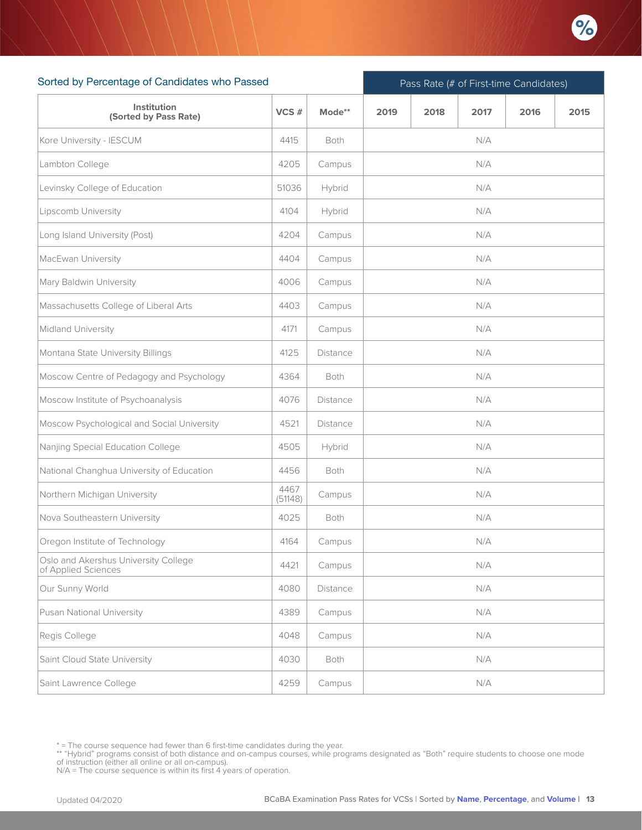

| Sorted by Percentage of Candidates who Passed               |                 |                 | Pass Rate (# of First-time Candidates) |      |      |      |      |  |  |  |
|-------------------------------------------------------------|-----------------|-----------------|----------------------------------------|------|------|------|------|--|--|--|
| Institution<br>(Sorted by Pass Rate)                        | VCS#            | Mode**          | 2019                                   | 2018 | 2017 | 2016 | 2015 |  |  |  |
| Kore University - IESCUM                                    | 4415            | Both            |                                        |      | N/A  |      |      |  |  |  |
| Lambton College                                             | 4205            | Campus          |                                        |      | N/A  |      |      |  |  |  |
| Levinsky College of Education                               | 51036           | Hybrid          |                                        |      | N/A  |      |      |  |  |  |
| Lipscomb University                                         | 4104            | Hybrid          |                                        |      | N/A  |      |      |  |  |  |
| Long Island University (Post)                               | 4204            | Campus          | N/A                                    |      |      |      |      |  |  |  |
| MacEwan University                                          | 4404            | Campus          |                                        |      | N/A  |      |      |  |  |  |
| Mary Baldwin University                                     | 4006            | Campus          |                                        |      | N/A  |      |      |  |  |  |
| Massachusetts College of Liberal Arts                       | 4403            | Campus          |                                        |      | N/A  |      |      |  |  |  |
| Midland University                                          | 4171            | Campus          |                                        |      | N/A  |      |      |  |  |  |
| Montana State University Billings                           | 4125            | <b>Distance</b> |                                        |      | N/A  |      |      |  |  |  |
| Moscow Centre of Pedagogy and Psychology                    | 4364            | Both            |                                        |      | N/A  |      |      |  |  |  |
| Moscow Institute of Psychoanalysis                          | 4076            | <b>Distance</b> |                                        |      | N/A  |      |      |  |  |  |
| Moscow Psychological and Social University                  | 4521            | <b>Distance</b> |                                        |      | N/A  |      |      |  |  |  |
| Nanjing Special Education College                           | 4505            | Hybrid          |                                        |      | N/A  |      |      |  |  |  |
| National Changhua University of Education                   | 4456            | Both            |                                        |      | N/A  |      |      |  |  |  |
| Northern Michigan University                                | 4467<br>(51148) | Campus          |                                        |      | N/A  |      |      |  |  |  |
| Nova Southeastern University                                | 4025            | Both            |                                        |      | N/A  |      |      |  |  |  |
| Oregon Institute of Technology                              | 4164            | Campus          |                                        |      | N/A  |      |      |  |  |  |
| Oslo and Akershus University College<br>of Applied Sciences | 4421            | Campus          |                                        |      | N/A  |      |      |  |  |  |
| Our Sunny World                                             | 4080            | Distance        | N/A                                    |      |      |      |      |  |  |  |
| Pusan National University                                   | 4389            | Campus          |                                        |      | N/A  |      |      |  |  |  |
| Regis College                                               | 4048            | Campus          |                                        |      | N/A  |      |      |  |  |  |
| Saint Cloud State University                                | 4030            | Both            |                                        |      | N/A  |      |      |  |  |  |
| Saint Lawrence College                                      | 4259            | Campus          |                                        |      | N/A  |      |      |  |  |  |

<sup>\* =</sup> The course sequence had fewer than 6 first-time candidates during the year.

<sup>\*\* &</sup>quot;Hybrid" programs consist of both distance and on-campus courses, while programs designated as "Both" require students to choose one mode<br>of instruction (either all online or all on-campus).<br>N/A = The course sequence is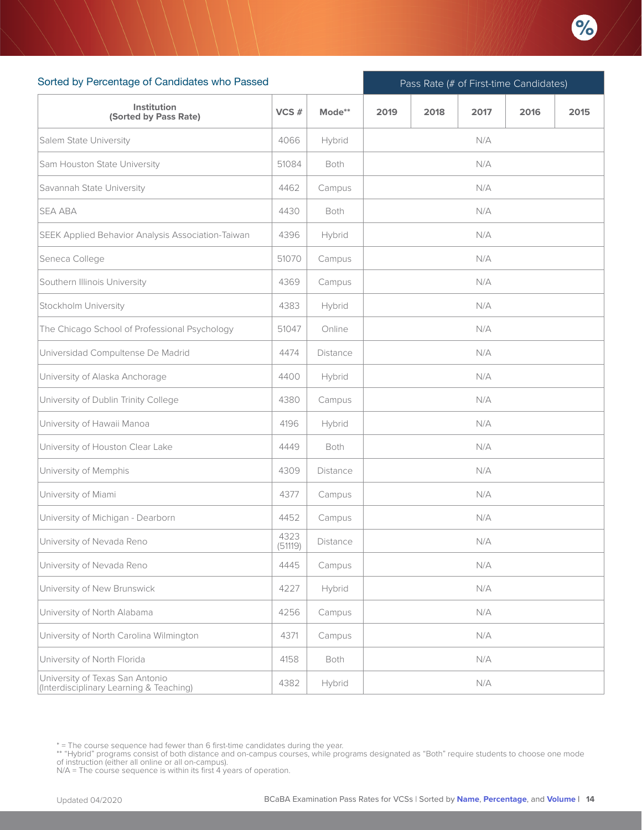

| Sorted by Percentage of Candidates who Passed                              |                 |                 | Pass Rate (# of First-time Candidates) |      |      |      |      |  |  |
|----------------------------------------------------------------------------|-----------------|-----------------|----------------------------------------|------|------|------|------|--|--|
| Institution<br>(Sorted by Pass Rate)                                       | VCS#            | Mode**          | 2019                                   | 2018 | 2017 | 2016 | 2015 |  |  |
| Salem State University                                                     | 4066            | Hybrid          |                                        |      | N/A  |      |      |  |  |
| Sam Houston State University                                               | 51084           | <b>Both</b>     |                                        |      | N/A  |      |      |  |  |
| Savannah State University                                                  | 4462            | Campus          |                                        |      | N/A  |      |      |  |  |
| <b>SEA ABA</b>                                                             | 4430            | Both            |                                        |      | N/A  |      |      |  |  |
| SEEK Applied Behavior Analysis Association-Taiwan                          | 4396            | Hybrid          | N/A                                    |      |      |      |      |  |  |
| Seneca College                                                             | 51070           | Campus          |                                        |      | N/A  |      |      |  |  |
| Southern Illinois University                                               | 4369            | Campus          |                                        |      | N/A  |      |      |  |  |
| Stockholm University                                                       | 4383            | Hybrid          |                                        |      | N/A  |      |      |  |  |
| The Chicago School of Professional Psychology                              | 51047           | Online          |                                        |      | N/A  |      |      |  |  |
| Universidad Compultense De Madrid                                          | 4474            | <b>Distance</b> |                                        |      | N/A  |      |      |  |  |
| University of Alaska Anchorage                                             | 4400            | Hybrid          |                                        |      | N/A  |      |      |  |  |
| University of Dublin Trinity College                                       | 4380            | Campus          |                                        |      | N/A  |      |      |  |  |
| University of Hawaii Manoa                                                 | 4196            | Hybrid          |                                        |      | N/A  |      |      |  |  |
| University of Houston Clear Lake                                           | 4449            | Both            |                                        |      | N/A  |      |      |  |  |
| University of Memphis                                                      | 4309            | Distance        |                                        |      | N/A  |      |      |  |  |
| University of Miami                                                        | 4377            | Campus          |                                        |      | N/A  |      |      |  |  |
| University of Michigan - Dearborn                                          | 4452            | Campus          |                                        |      | N/A  |      |      |  |  |
| University of Nevada Reno                                                  | 4323<br>(51119) | Distance        |                                        |      | N/A  |      |      |  |  |
| University of Nevada Reno                                                  | 4445            | Campus          |                                        |      | N/A  |      |      |  |  |
| University of New Brunswick                                                | 4227            | Hybrid          | N/A                                    |      |      |      |      |  |  |
| University of North Alabama                                                | 4256            | Campus          |                                        |      | N/A  |      |      |  |  |
| University of North Carolina Wilmington                                    | 4371            | Campus          |                                        |      | N/A  |      |      |  |  |
| University of North Florida                                                | 4158            | Both            |                                        |      | N/A  |      |      |  |  |
| University of Texas San Antonio<br>(Interdisciplinary Learning & Teaching) | 4382            | Hybrid          |                                        |      | N/A  |      |      |  |  |

<sup>\* =</sup> The course sequence had fewer than 6 first-time candidates during the year.

<sup>\*\* &</sup>quot;Hybrid" programs consist of both distance and on-campus courses, while programs designated as "Both" require students to choose one mode<br>of instruction (either all online or all on-campus).<br>N/A = The course sequence is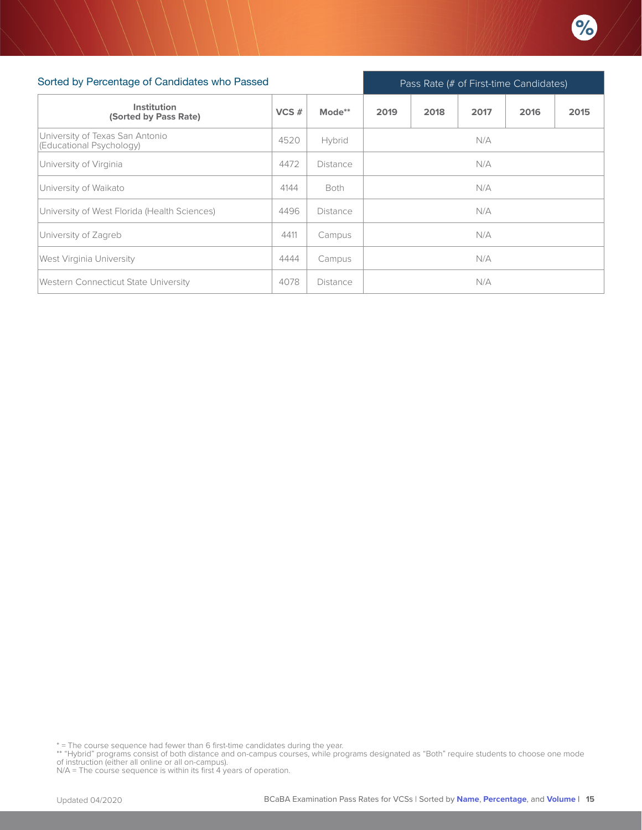

| Sorted by Percentage of Candidates who Passed               |      |             | Pass Rate (# of First-time Candidates) |      |      |      |      |  |
|-------------------------------------------------------------|------|-------------|----------------------------------------|------|------|------|------|--|
| Institution<br>(Sorted by Pass Rate)                        | VCS# | Mode**      | 2019                                   | 2018 | 2017 | 2016 | 2015 |  |
| University of Texas San Antonio<br>(Educational Psychology) | 4520 | Hybrid      |                                        |      | N/A  |      |      |  |
| University of Virginia                                      | 4472 | Distance    | N/A                                    |      |      |      |      |  |
| University of Waikato                                       | 4144 | <b>Both</b> | N/A                                    |      |      |      |      |  |
| University of West Florida (Health Sciences)                | 4496 | Distance    |                                        |      | N/A  |      |      |  |
| University of Zagreb                                        | 4411 | Campus      | N/A                                    |      |      |      |      |  |
| <b>West Virginia University</b>                             | 4444 | Campus      | N/A                                    |      |      |      |      |  |
| <b>Western Connecticut State University</b>                 | 4078 | Distance    |                                        |      | N/A  |      |      |  |

\* = The course sequence had fewer than 6 first-time candidates during the year.

\*\* "Hybrid" programs consist of both distance and on-campus courses, while programs designated as "Both" require students to choose one mode<br>of instruction (either all online or all on-campus).<br>N/A = The course sequence is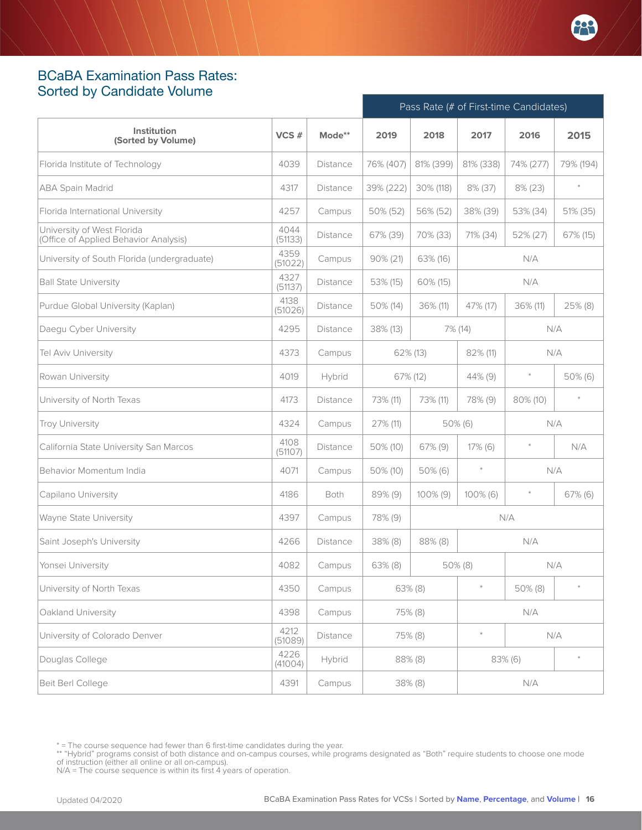## <span id="page-15-0"></span>BCaBA Examination Pass Rates: Sorted by Candidate Volume

|                                                                     |                 |                 | Pass Rate (# of First-time Candidates) |             |                |           |                |
|---------------------------------------------------------------------|-----------------|-----------------|----------------------------------------|-------------|----------------|-----------|----------------|
| Institution<br>(Sorted by Volume)                                   | VCS#            | Mode**          | 2019                                   | 2018        | 2017           | 2016      | 2015           |
| Florida Institute of Technology                                     | 4039            | <b>Distance</b> | 76% (407)                              | 81% (399)   | 81% (338)      | 74% (277) | 79% (194)      |
| <b>ABA Spain Madrid</b>                                             | 4317            | Distance        | 39% (222)                              | 30% (118)   | 8% (37)        | 8% (23)   | $\ast$         |
| Florida International University                                    | 4257            | Campus          | 50% (52)                               | 56% (52)    | 38% (39)       | 53% (34)  | 51% (35)       |
| University of West Florida<br>(Office of Applied Behavior Analysis) | 4044<br>(51133) | Distance        | 67% (39)                               | 70% (33)    | 71% (34)       | 52% (27)  | 67% (15)       |
| University of South Florida (undergraduate)                         | 4359<br>(51022) | Campus          | $90\% (21)$                            | 63% (16)    | N/A            |           |                |
| <b>Ball State University</b>                                        | 4327<br>(51137) | <b>Distance</b> | 53% (15)                               | 60% (15)    | N/A            |           |                |
| Purdue Global University (Kaplan)                                   | 4138<br>(51026) | <b>Distance</b> | 50% (14)                               | 36% (11)    | 47% (17)       | 36% (11)  | 25% (8)        |
| Daegu Cyber University                                              | 4295            | <b>Distance</b> | $38\%$ (13)                            |             | 7% (14)<br>N/A |           |                |
| Tel Aviv University                                                 | 4373            | Campus          | 62% (13)                               |             | 82% (11)       | N/A       |                |
| Rowan University                                                    | 4019            | Hybrid          | 67% (12)                               | 44% (9)     |                | $\ast$    | 50% (6)        |
| University of North Texas                                           | 4173            | <b>Distance</b> | 73% (11)                               | 73% (11)    | 78% (9)        | 80% (10)  | $\frac{1}{2}C$ |
| Troy University                                                     | 4324            | Campus          | 27% (11)                               |             | $50\%$ (6)     | N/A       |                |
| California State University San Marcos                              | 4108<br>(51107) | <b>Distance</b> | 50% (10)                               | 67% (9)     | $17\%$ (6)     | $\ast$    | N/A            |
| Behavior Momentum India                                             | 4071            | Campus          | 50% (10)                               | 50% (6)     | $\ast$         | N/A       |                |
| Capilano University                                                 | 4186            | Both            | 89% (9)                                | $100\%$ (9) | $100\%$ (6)    | $\ast$    | 67% (6)        |
| Wayne State University                                              | 4397            | Campus          | 78% (9)                                |             |                | N/A       |                |
| Saint Joseph's University                                           | 4266            | <b>Distance</b> | 38% (8)                                | 88% (8)     |                | N/A       |                |
| Yonsei University                                                   | 4082            | Campus          | $63\%$ (8)                             |             | $50\%$ (8)     | N/A       |                |
| University of North Texas                                           | 4350            | Campus          |                                        | 63% (8)     | $\ast$         | 50% (8)   |                |
| Oakland University                                                  | 4398            | Campus          |                                        | 75% (8)     |                | N/A       |                |
| University of Colorado Denver                                       | 4212<br>(51089) | Distance        |                                        | 75% (8)     | $\ast$         | N/A       |                |
| Douglas College                                                     | 4226<br>(41004) | Hybrid          |                                        | 88% (8)     |                | 83% (6)   | $\frac{1}{2}$  |
| Beit Berl College                                                   | 4391            | Campus          |                                        | $38\%$ (8)  |                | N/A       |                |

\*\* "Hybrid" programs consist of both distance and on-campus courses, while programs designated as "Both" require students to choose one mode<br>of instruction (either all online or all on-campus).<br>N/A = The course sequence is

<sup>\* =</sup> The course sequence had fewer than 6 first-time candidates during the year.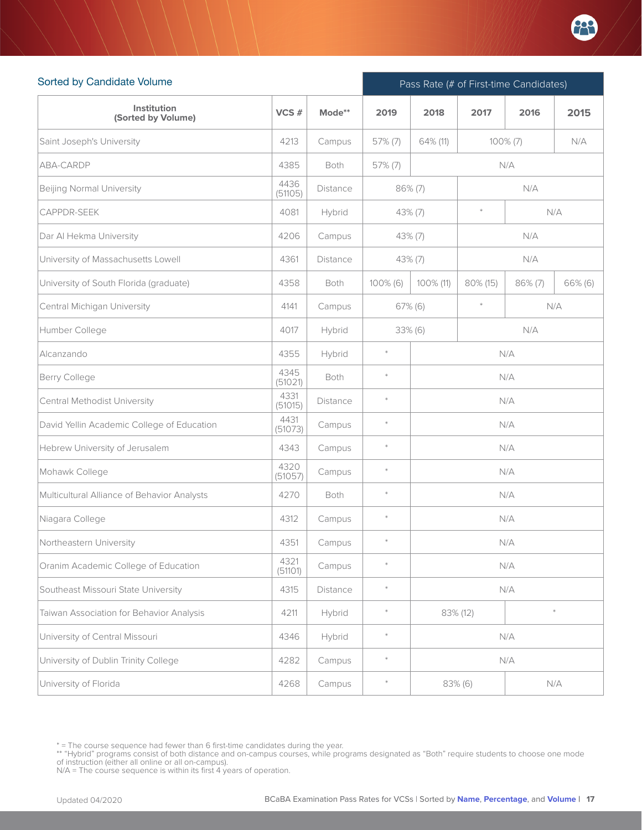

| Sorted by Candidate Volume                  |                 |                 | Pass Rate (# of First-time Candidates) |                |               |              |         |  |  |
|---------------------------------------------|-----------------|-----------------|----------------------------------------|----------------|---------------|--------------|---------|--|--|
| Institution<br>(Sorted by Volume)           | VCS#            | Mode**          | 2019                                   | 2018           | 2017          | 2015<br>2016 |         |  |  |
| Saint Joseph's University                   | 4213            | Campus          | 57% (7)                                | 64% (11)       | $100\% (7)$   |              | N/A     |  |  |
| ABA-CARDP                                   | 4385            | <b>Both</b>     | 57% (7)                                |                | N/A           |              |         |  |  |
| <b>Beijing Normal University</b>            | 4436<br>(51105) | <b>Distance</b> |                                        | $86\% (7)$     | N/A           |              |         |  |  |
| CAPPDR-SEEK                                 | 4081            | Hybrid          |                                        | $43\%$ (7)     | $\ast$<br>N/A |              |         |  |  |
| Dar Al Hekma University                     | 4206            | Campus          |                                        | 43% (7)        | N/A           |              |         |  |  |
| University of Massachusetts Lowell          | 4361            | Distance        |                                        | 43% (7)        |               | N/A          |         |  |  |
| University of South Florida (graduate)      | 4358            | Both            | $100\%$ (6)                            | 100% (11)      | 80% (15)      | 86% (7)      | 66% (6) |  |  |
| Central Michigan University                 | 4141            | Campus          |                                        | 67% (6)        | $\ast$        |              | N/A     |  |  |
| Humber College                              | 4017            | Hybrid          |                                        | N/A<br>33% (6) |               |              |         |  |  |
| Alcanzando                                  | 4355            | Hybrid          | $\ast$                                 | N/A            |               |              |         |  |  |
| Berry College                               | 4345<br>(51021) | Both            | $\ast$                                 | N/A            |               |              |         |  |  |
| Central Methodist University                | 4331<br>(51015) | Distance        | $\ast$                                 | N/A            |               |              |         |  |  |
| David Yellin Academic College of Education  | 4431<br>(51073) | Campus          | $\ast$                                 |                |               | N/A          |         |  |  |
| Hebrew University of Jerusalem              | 4343            | Campus          | $\ast$                                 |                |               | N/A          |         |  |  |
| Mohawk College                              | 4320<br>(51057) | Campus          | $\ast$                                 |                |               | N/A          |         |  |  |
| Multicultural Alliance of Behavior Analysts | 4270            | Both            | $\ast$                                 |                |               | N/A          |         |  |  |
| Niagara College                             | 4312            | Campus          | $\ast$                                 |                |               | N/A          |         |  |  |
| Northeastern University                     | 4351            | Campus          | $\ast$                                 |                |               | N/A          |         |  |  |
| Oranim Academic College of Education        | 4321<br>(51101) | Campus          | $\ast$                                 |                |               | N/A          |         |  |  |
| Southeast Missouri State University         | 4315            | Distance        | $\ast$                                 |                |               | N/A          |         |  |  |
| Taiwan Association for Behavior Analysis    | 4211            | Hybrid          | $\ast$                                 |                | 83% (12)      |              | $\ast$  |  |  |
| University of Central Missouri              | 4346            | Hybrid          | $\ast$                                 |                |               | N/A          |         |  |  |
| University of Dublin Trinity College        | 4282            | Campus          | $\ast$                                 |                |               | N/A          |         |  |  |
| University of Florida                       | 4268            | Campus          | $\ast$                                 |                | 83% (6)       |              | N/A     |  |  |

<sup>\* =</sup> The course sequence had fewer than 6 first-time candidates during the year.

<sup>\*\* &</sup>quot;Hybrid" programs consist of both distance and on-campus courses, while programs designated as "Both" require students to choose one mode<br>of instruction (either all online or all on-campus).<br>N/A = The course sequence is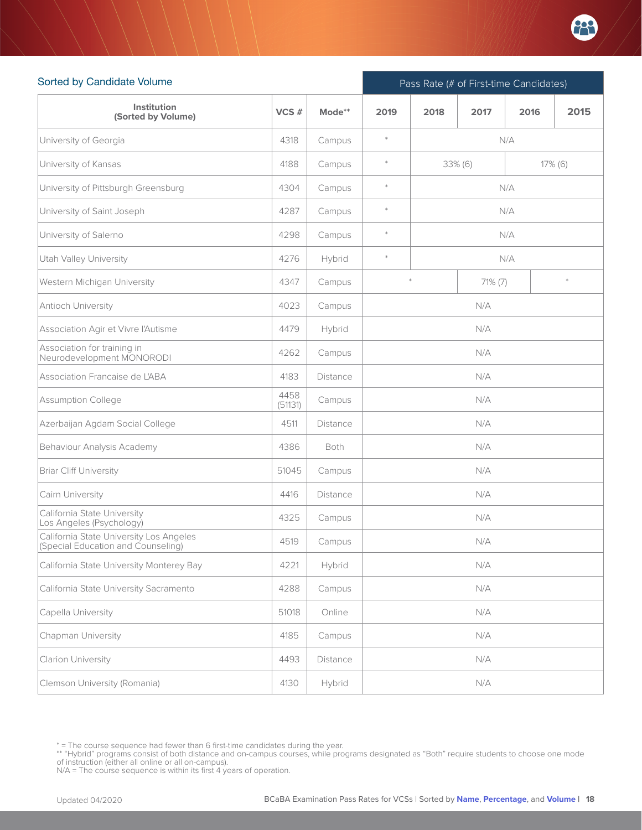

| Sorted by Candidate Volume                                                    |                 |                 | Pass Rate (# of First-time Candidates) |                          |      |      |      |  |
|-------------------------------------------------------------------------------|-----------------|-----------------|----------------------------------------|--------------------------|------|------|------|--|
| Institution<br>(Sorted by Volume)                                             | VCS#            | Mode**          | 2019                                   | 2018                     | 2017 | 2016 | 2015 |  |
| University of Georgia                                                         | 4318            | Campus          | $\ast$                                 |                          |      | N/A  |      |  |
| University of Kansas                                                          | 4188            | Campus          | $\ast$                                 | $33\%$ (6)<br>$17\%$ (6) |      |      |      |  |
| University of Pittsburgh Greensburg                                           | 4304            | Campus          | $\ast$                                 | N/A                      |      |      |      |  |
| University of Saint Joseph                                                    | 4287            | Campus          | $\ast$                                 |                          |      | N/A  |      |  |
| University of Salerno                                                         | 4298            | Campus          | $\ast$                                 |                          |      | N/A  |      |  |
| <b>Utah Valley University</b>                                                 | 4276            | Hybrid          | $\ast$                                 | N/A                      |      |      |      |  |
| Western Michigan University                                                   | 4347            | Campus          |                                        | 71% (7)                  |      |      |      |  |
| Antioch University                                                            | 4023            | Campus          |                                        |                          | N/A  |      |      |  |
| Association Agir et Vivre l'Autisme                                           | 4479            | Hybrid          |                                        | N/A                      |      |      |      |  |
| Association for training in<br>Neurodevelopment MONORODI                      | 4262            | Campus          |                                        | N/A                      |      |      |      |  |
| Association Francaise de L'ABA                                                | 4183            | Distance        | N/A                                    |                          |      |      |      |  |
| Assumption College                                                            | 4458<br>(51131) | Campus          | N/A                                    |                          |      |      |      |  |
| Azerbaijan Agdam Social College                                               | 4511            | Distance        |                                        |                          | N/A  |      |      |  |
| Behaviour Analysis Academy                                                    | 4386            | Both            |                                        |                          | N/A  |      |      |  |
| Briar Cliff University                                                        | 51045           | Campus          |                                        |                          | N/A  |      |      |  |
| Cairn University                                                              | 4416            | <b>Distance</b> |                                        |                          | N/A  |      |      |  |
| California State University<br>Los Angeles (Psychology)                       | 4325            | Campus          |                                        |                          | N/A  |      |      |  |
| California State University Los Angeles<br>(Special Education and Counseling) | 4519            | Campus          |                                        |                          | N/A  |      |      |  |
| California State University Monterey Bay                                      | 4221            | Hybrid          |                                        |                          | N/A  |      |      |  |
| California State University Sacramento                                        | 4288            | Campus          |                                        |                          | N/A  |      |      |  |
| Capella University                                                            | 51018           | Online          |                                        |                          | N/A  |      |      |  |
| Chapman University                                                            | 4185            | Campus          |                                        |                          | N/A  |      |      |  |
| Clarion University                                                            | 4493            | Distance        |                                        |                          | N/A  |      |      |  |
| Clemson University (Romania)                                                  | 4130            | Hybrid          |                                        |                          | N/A  |      |      |  |

<sup>\* =</sup> The course sequence had fewer than 6 first-time candidates during the year.

<sup>\*\* &</sup>quot;Hybrid" programs consist of both distance and on-campus courses, while programs designated as "Both" require students to choose one mode<br>of instruction (either all online or all on-campus).<br>N/A = The course sequence is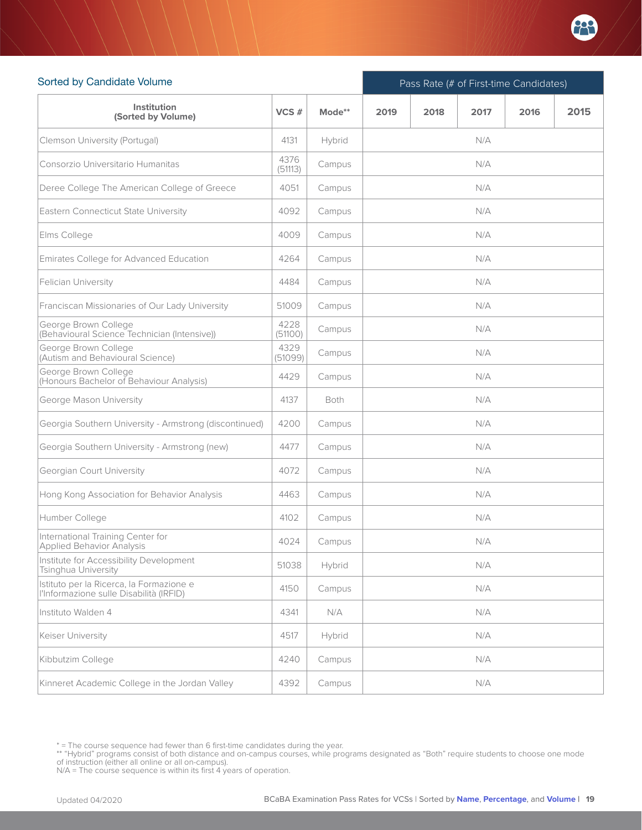

| Sorted by Candidate Volume                                                          |                 |             |      | Pass Rate (# of First-time Candidates) |      |      |      |  |  |  |
|-------------------------------------------------------------------------------------|-----------------|-------------|------|----------------------------------------|------|------|------|--|--|--|
| Institution<br>(Sorted by Volume)                                                   | VCS#            | Mode**      | 2019 | 2018                                   | 2017 | 2016 | 2015 |  |  |  |
| Clemson University (Portugal)                                                       | 4131            | Hybrid      |      |                                        | N/A  |      |      |  |  |  |
| Consorzio Universitario Humanitas                                                   | 4376<br>(51113) | Campus      |      |                                        | N/A  |      |      |  |  |  |
| Deree College The American College of Greece                                        | 4051            | Campus      |      |                                        | N/A  |      |      |  |  |  |
| Eastern Connecticut State University                                                | 4092            | Campus      |      |                                        | N/A  |      |      |  |  |  |
| Elms College                                                                        | 4009            | Campus      |      |                                        | N/A  |      |      |  |  |  |
| Emirates College for Advanced Education                                             | 4264            | Campus      |      |                                        | N/A  |      |      |  |  |  |
| Felician University                                                                 | 4484            | Campus      |      |                                        | N/A  |      |      |  |  |  |
| Franciscan Missionaries of Our Lady University                                      | 51009           | Campus      |      |                                        | N/A  |      |      |  |  |  |
| George Brown College<br>(Behavioural Science Technician (Intensive))                | 4228<br>(51100) | Campus      |      |                                        | N/A  |      |      |  |  |  |
| George Brown College<br>(Autism and Behavioural Science)                            | 4329<br>(51099) | Campus      | N/A  |                                        |      |      |      |  |  |  |
| George Brown College<br>(Honours Bachelor of Behaviour Analysis)                    | 4429            | Campus      | N/A  |                                        |      |      |      |  |  |  |
| George Mason University                                                             | 4137            | <b>Both</b> |      |                                        | N/A  |      |      |  |  |  |
| Georgia Southern University - Armstrong (discontinued)                              | 4200            | Campus      |      |                                        | N/A  |      |      |  |  |  |
| Georgia Southern University - Armstrong (new)                                       | 4477            | Campus      |      |                                        | N/A  |      |      |  |  |  |
| Georgian Court University                                                           | 4072            | Campus      |      |                                        | N/A  |      |      |  |  |  |
| Hong Kong Association for Behavior Analysis                                         | 4463            | Campus      |      |                                        | N/A  |      |      |  |  |  |
| Humber College                                                                      | 4102            | Campus      |      |                                        | N/A  |      |      |  |  |  |
| International Training Center for<br>Applied Behavior Analysis                      | 4024            | Campus      |      |                                        | N/A  |      |      |  |  |  |
| Institute for Accessibility Development<br>Tsinghua University                      | 51038           | Hybrid      |      |                                        | N/A  |      |      |  |  |  |
| Istituto per la Ricerca, la Formazione e<br>l'Informazione sulle Disabilità (IRFID) | 4150            | Campus      | N/A  |                                        |      |      |      |  |  |  |
| Instituto Walden 4                                                                  | 4341            | N/A         | N/A  |                                        |      |      |      |  |  |  |
| Keiser University                                                                   | 4517            | Hybrid      |      |                                        | N/A  |      |      |  |  |  |
| Kibbutzim College                                                                   | 4240            | Campus      |      |                                        | N/A  |      |      |  |  |  |
| Kinneret Academic College in the Jordan Valley                                      | 4392            | Campus      |      |                                        | N/A  |      |      |  |  |  |

<sup>\* =</sup> The course sequence had fewer than 6 first-time candidates during the year.

<sup>\*\* &</sup>quot;Hybrid" programs consist of both distance and on-campus courses, while programs designated as "Both" require students to choose one mode<br>of instruction (either all online or all on-campus).<br>N/A = The course sequence is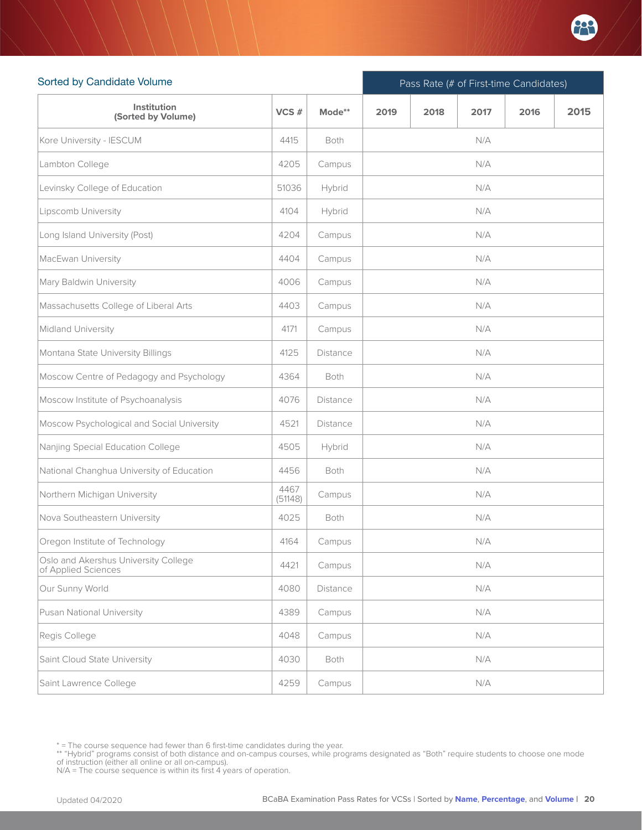

| Sorted by Candidate Volume                                  |                 |                 |      | Pass Rate (# of First-time Candidates) |      |      |      |  |  |  |
|-------------------------------------------------------------|-----------------|-----------------|------|----------------------------------------|------|------|------|--|--|--|
| Institution<br>(Sorted by Volume)                           | VCS#            | Mode**          | 2019 | 2018                                   | 2017 | 2016 | 2015 |  |  |  |
| Kore University - IESCUM                                    | 4415            | Both            |      |                                        | N/A  |      |      |  |  |  |
| Lambton College                                             | 4205            | Campus          |      |                                        | N/A  |      |      |  |  |  |
| Levinsky College of Education                               | 51036           | Hybrid          |      |                                        | N/A  |      |      |  |  |  |
| Lipscomb University                                         | 4104            | Hybrid          |      |                                        | N/A  |      |      |  |  |  |
| Long Island University (Post)                               | 4204            | Campus          |      |                                        | N/A  |      |      |  |  |  |
| MacEwan University                                          | 4404            | Campus          |      |                                        | N/A  |      |      |  |  |  |
| Mary Baldwin University                                     | 4006            | Campus          |      |                                        | N/A  |      |      |  |  |  |
| Massachusetts College of Liberal Arts                       | 4403            | Campus          |      |                                        | N/A  |      |      |  |  |  |
| Midland University                                          | 4171            | Campus          |      |                                        | N/A  |      |      |  |  |  |
| Montana State University Billings                           | 4125            | <b>Distance</b> |      |                                        | N/A  |      |      |  |  |  |
| Moscow Centre of Pedagogy and Psychology                    | 4364            | <b>Both</b>     |      |                                        | N/A  |      |      |  |  |  |
| Moscow Institute of Psychoanalysis                          | 4076            | Distance        |      |                                        | N/A  |      |      |  |  |  |
| Moscow Psychological and Social University                  | 4521            | Distance        |      |                                        | N/A  |      |      |  |  |  |
| Nanjing Special Education College                           | 4505            | Hybrid          |      |                                        | N/A  |      |      |  |  |  |
| National Changhua University of Education                   | 4456            | Both            |      |                                        | N/A  |      |      |  |  |  |
| Northern Michigan University                                | 4467<br>(51148) | Campus          |      |                                        | N/A  |      |      |  |  |  |
| Nova Southeastern University                                | 4025            | Both            |      |                                        | N/A  |      |      |  |  |  |
| Oregon Institute of Technology                              | 4164            | Campus          |      |                                        | N/A  |      |      |  |  |  |
| Oslo and Akershus University College<br>of Applied Sciences | 4421            | Campus          |      |                                        | N/A  |      |      |  |  |  |
| Our Sunny World                                             | 4080            | Distance        |      |                                        | N/A  |      |      |  |  |  |
| Pusan National University                                   | 4389            | Campus          |      |                                        | N/A  |      |      |  |  |  |
| Regis College                                               | 4048            | Campus          |      |                                        | N/A  |      |      |  |  |  |
| Saint Cloud State University                                | 4030            | Both            |      |                                        | N/A  |      |      |  |  |  |
| Saint Lawrence College                                      | 4259            | Campus          |      |                                        | N/A  |      |      |  |  |  |

<sup>\* =</sup> The course sequence had fewer than 6 first-time candidates during the year.

<sup>\*\* &</sup>quot;Hybrid" programs consist of both distance and on-campus courses, while programs designated as "Both" require students to choose one mode<br>of instruction (either all online or all on-campus).<br>N/A = The course sequence is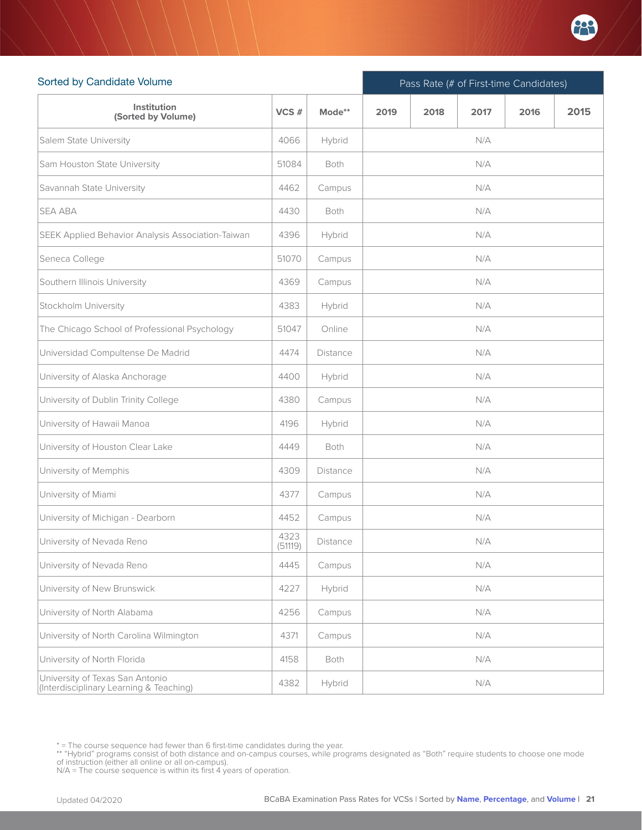

| Sorted by Candidate Volume                                                 |                 |             |      | Pass Rate (# of First-time Candidates) |      |      |      |  |  |  |
|----------------------------------------------------------------------------|-----------------|-------------|------|----------------------------------------|------|------|------|--|--|--|
| Institution<br>(Sorted by Volume)                                          | VCS#            | Mode**      | 2019 | 2018                                   | 2017 | 2016 | 2015 |  |  |  |
| Salem State University                                                     | 4066            | Hybrid      |      |                                        | N/A  |      |      |  |  |  |
| Sam Houston State University                                               | 51084           | <b>Both</b> |      |                                        | N/A  |      |      |  |  |  |
| Savannah State University                                                  | 4462            | Campus      | N/A  |                                        |      |      |      |  |  |  |
| <b>SEA ABA</b>                                                             | 4430            | <b>Both</b> | N/A  |                                        |      |      |      |  |  |  |
| SEEK Applied Behavior Analysis Association-Taiwan                          | 4396            | Hybrid      |      |                                        | N/A  |      |      |  |  |  |
| Seneca College                                                             | 51070           | Campus      |      |                                        | N/A  |      |      |  |  |  |
| Southern Illinois University                                               | 4369            | Campus      |      |                                        | N/A  |      |      |  |  |  |
| Stockholm University                                                       | 4383            | Hybrid      |      |                                        | N/A  |      |      |  |  |  |
| The Chicago School of Professional Psychology                              | 51047           | Online      |      |                                        | N/A  |      |      |  |  |  |
| Universidad Compultense De Madrid                                          | 4474            | Distance    |      |                                        | N/A  |      |      |  |  |  |
| University of Alaska Anchorage                                             | 4400            | Hybrid      |      |                                        | N/A  |      |      |  |  |  |
| University of Dublin Trinity College                                       | 4380            | Campus      |      |                                        | N/A  |      |      |  |  |  |
| University of Hawaii Manoa                                                 | 4196            | Hybrid      |      |                                        | N/A  |      |      |  |  |  |
| University of Houston Clear Lake                                           | 4449            | Both        |      |                                        | N/A  |      |      |  |  |  |
| University of Memphis                                                      | 4309            | Distance    |      |                                        | N/A  |      |      |  |  |  |
| University of Miami                                                        | 4377            | Campus      |      |                                        | N/A  |      |      |  |  |  |
| University of Michigan - Dearborn                                          | 4452            | Campus      |      |                                        | N/A  |      |      |  |  |  |
| University of Nevada Reno                                                  | 4323<br>(51119) | Distance    |      |                                        | N/A  |      |      |  |  |  |
| University of Nevada Reno                                                  | 4445            | Campus      |      |                                        | N/A  |      |      |  |  |  |
| University of New Brunswick                                                | 4227            | Hybrid      | N/A  |                                        |      |      |      |  |  |  |
| University of North Alabama                                                | 4256            | Campus      | N/A  |                                        |      |      |      |  |  |  |
| University of North Carolina Wilmington                                    | 4371            | Campus      |      |                                        | N/A  |      |      |  |  |  |
| University of North Florida                                                | 4158            | Both        |      |                                        | N/A  |      |      |  |  |  |
| University of Texas San Antonio<br>(Interdisciplinary Learning & Teaching) | 4382            | Hybrid      |      |                                        | N/A  |      |      |  |  |  |

<sup>\* =</sup> The course sequence had fewer than 6 first-time candidates during the year.

<sup>\*\* &</sup>quot;Hybrid" programs consist of both distance and on-campus courses, while programs designated as "Both" require students to choose one mode<br>of instruction (either all online or all on-campus).<br>N/A = The course sequence is